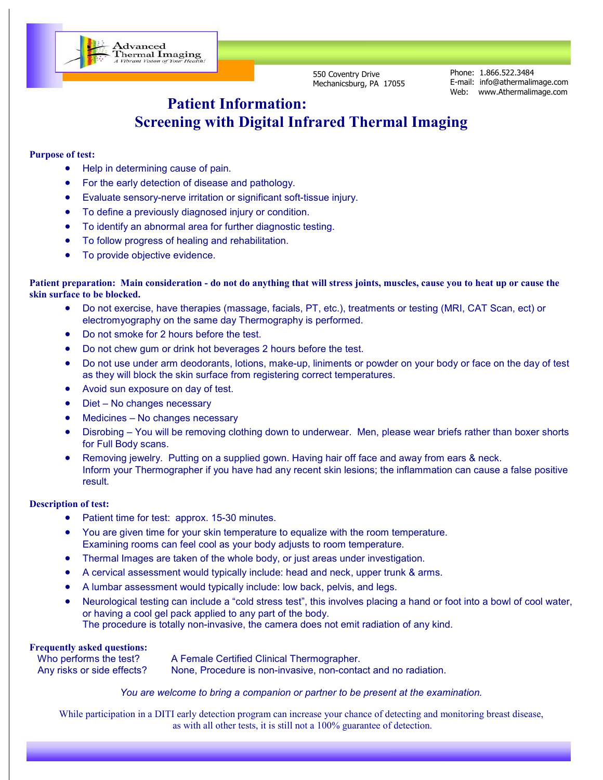550 Coventry Drive Mechanicsburg, PA 17055 Phone: 1.866.522.3484 E-mail: info@athermalimage.com Web: www.Athermalimage.com

# **Patient Information: Screening with Digital Infrared Thermal Imaging**

### **Purpose of test:**

• Help in determining cause of pain.

Advanced<br>Thermal Imaging<br>A Vibrant Vision of Your Health!

- For the early detection of disease and pathology.
- Evaluate sensory-nerve irritation or significant soft-tissue injury.
- To define a previously diagnosed injury or condition.
- To identify an abnormal area for further diagnostic testing.
- To follow progress of healing and rehabilitation.
- To provide objective evidence.

#### **Patient preparation: Main consideration - do not do anything that will stress joints, muscles, cause you to heat up or cause the skin surface to be blocked.**

- Do not exercise, have therapies (massage, facials, PT, etc.), treatments or testing (MRI, CAT Scan, ect) or electromyography on the same day Thermography is performed.
- Do not smoke for 2 hours before the test.
- Do not chew gum or drink hot beverages 2 hours before the test.
- Do not use under arm deodorants, lotions, make-up, liniments or powder on your body or face on the day of test as they will block the skin surface from registering correct temperatures.
- Avoid sun exposure on day of test.
- Diet No changes necessary
- Medicines No changes necessary
- Disrobing You will be removing clothing down to underwear. Men, please wear briefs rather than boxer shorts for Full Body scans.
- Removing jewelry. Putting on a supplied gown. Having hair off face and away from ears & neck. Inform your Thermographer if you have had any recent skin lesions; the inflammation can cause a false positive result.

#### **Description of test:**

- Patient time for test: approx. 15-30 minutes.
- You are given time for your skin temperature to equalize with the room temperature. Examining rooms can feel cool as your body adjusts to room temperature.
- Thermal Images are taken of the whole body, or just areas under investigation.
- A cervical assessment would typically include: head and neck, upper trunk & arms.
- A lumbar assessment would typically include: low back, pelvis, and legs.
- Neurological testing can include a "cold stress test", this involves placing a hand or foot into a bowl of cool water, or having a cool gel pack applied to any part of the body. The procedure is totally non-invasive, the camera does not emit radiation of any kind.

#### **Frequently asked questions:**

| Who performs the test?     | A Female Certified Clinical Thermographer.                     |
|----------------------------|----------------------------------------------------------------|
| Any risks or side effects? | None, Procedure is non-invasive, non-contact and no radiation. |

### *You are welcome to bring a companion or partner to be present at the examination.*

While participation in a DITI early detection program can increase your chance of detecting and monitoring breast disease, as with all other tests, it is still not a 100% guarantee of detection.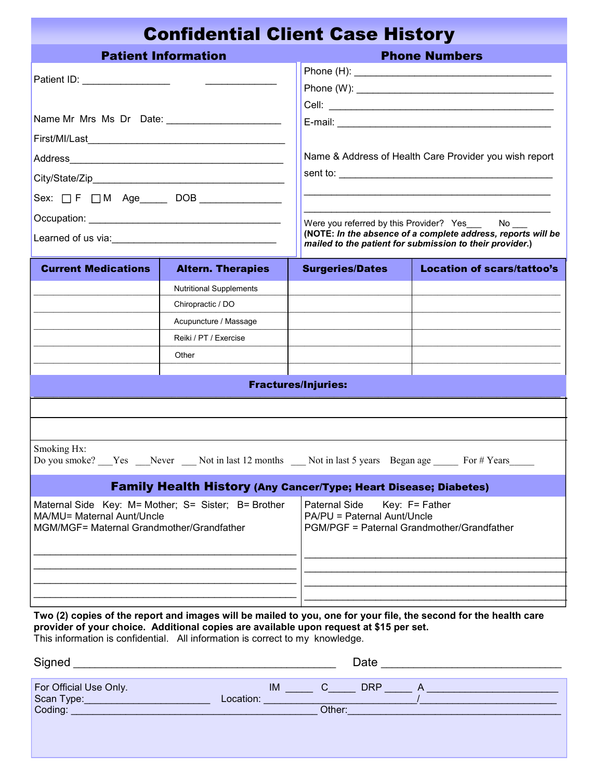|                                                                         | <b>Confidential Client Case History</b>                                                                                                                                                                                                                                                                                                                                                                                                                                                                                                         |                                                                                            |                                                                                                                                                                                |
|-------------------------------------------------------------------------|-------------------------------------------------------------------------------------------------------------------------------------------------------------------------------------------------------------------------------------------------------------------------------------------------------------------------------------------------------------------------------------------------------------------------------------------------------------------------------------------------------------------------------------------------|--------------------------------------------------------------------------------------------|--------------------------------------------------------------------------------------------------------------------------------------------------------------------------------|
|                                                                         | <b>Patient Information</b>                                                                                                                                                                                                                                                                                                                                                                                                                                                                                                                      |                                                                                            | <b>Phone Numbers</b>                                                                                                                                                           |
| Patient ID: _________________                                           | $\begin{array}{c} \begin{array}{c} \hline \end{array} & \begin{array}{c} \hline \end{array} & \begin{array}{c} \hline \end{array} & \begin{array}{c} \hline \end{array} & \begin{array}{c} \hline \end{array} & \begin{array}{c} \hline \end{array} & \begin{array}{c} \hline \end{array} & \begin{array}{c} \hline \end{array} & \begin{array}{c} \hline \end{array} & \begin{array}{c} \hline \end{array} & \begin{array}{c} \hline \end{array} & \begin{array}{c} \hline \end{array} & \begin{array}{c} \hline \end{array} & \begin{array}{$ |                                                                                            |                                                                                                                                                                                |
|                                                                         |                                                                                                                                                                                                                                                                                                                                                                                                                                                                                                                                                 |                                                                                            |                                                                                                                                                                                |
|                                                                         |                                                                                                                                                                                                                                                                                                                                                                                                                                                                                                                                                 |                                                                                            | Name & Address of Health Care Provider you wish report                                                                                                                         |
|                                                                         |                                                                                                                                                                                                                                                                                                                                                                                                                                                                                                                                                 |                                                                                            |                                                                                                                                                                                |
| Sex: $\Box$ F $\Box$ M Age DOB _____________                            |                                                                                                                                                                                                                                                                                                                                                                                                                                                                                                                                                 |                                                                                            |                                                                                                                                                                                |
|                                                                         |                                                                                                                                                                                                                                                                                                                                                                                                                                                                                                                                                 |                                                                                            | Were you referred by this Provider? Yes_____ No___<br>(NOTE: In the absence of a complete address, reports will be<br>mailed to the patient for submission to their provider.) |
| <b>Current Medications</b>                                              | <b>Altern. Therapies</b>                                                                                                                                                                                                                                                                                                                                                                                                                                                                                                                        | <b>Surgeries/Dates</b>                                                                     | <b>Location of scars/tattoo's</b>                                                                                                                                              |
|                                                                         | <b>Nutritional Supplements</b>                                                                                                                                                                                                                                                                                                                                                                                                                                                                                                                  |                                                                                            |                                                                                                                                                                                |
|                                                                         | Chiropractic / DO                                                                                                                                                                                                                                                                                                                                                                                                                                                                                                                               |                                                                                            |                                                                                                                                                                                |
|                                                                         | Acupuncture / Massage                                                                                                                                                                                                                                                                                                                                                                                                                                                                                                                           |                                                                                            |                                                                                                                                                                                |
|                                                                         | Reiki / PT / Exercise                                                                                                                                                                                                                                                                                                                                                                                                                                                                                                                           |                                                                                            |                                                                                                                                                                                |
|                                                                         | Other                                                                                                                                                                                                                                                                                                                                                                                                                                                                                                                                           |                                                                                            |                                                                                                                                                                                |
|                                                                         |                                                                                                                                                                                                                                                                                                                                                                                                                                                                                                                                                 |                                                                                            |                                                                                                                                                                                |
|                                                                         |                                                                                                                                                                                                                                                                                                                                                                                                                                                                                                                                                 | <b>Fractures/Injuries:</b>                                                                 |                                                                                                                                                                                |
|                                                                         |                                                                                                                                                                                                                                                                                                                                                                                                                                                                                                                                                 |                                                                                            |                                                                                                                                                                                |
|                                                                         |                                                                                                                                                                                                                                                                                                                                                                                                                                                                                                                                                 |                                                                                            |                                                                                                                                                                                |
| Smoking Hx:                                                             | Do you smoke? Yes Never Not in last 12 months Not in last 5 years Began age For # Years                                                                                                                                                                                                                                                                                                                                                                                                                                                         |                                                                                            |                                                                                                                                                                                |
|                                                                         | <b>Family Health History (Any Cancer/Type; Heart Disease; Diabetes)</b>                                                                                                                                                                                                                                                                                                                                                                                                                                                                         |                                                                                            |                                                                                                                                                                                |
| MA/MU= Maternal Aunt/Uncle<br>MGM/MGF= Maternal Grandmother/Grandfather | Maternal Side Key: M= Mother; S= Sister; B= Brother                                                                                                                                                                                                                                                                                                                                                                                                                                                                                             | Paternal Side<br>PA/PU = Paternal Aunt/Uncle<br>PGM/PGF = Paternal Grandmother/Grandfather | Key: F= Father                                                                                                                                                                 |
|                                                                         |                                                                                                                                                                                                                                                                                                                                                                                                                                                                                                                                                 |                                                                                            |                                                                                                                                                                                |
|                                                                         |                                                                                                                                                                                                                                                                                                                                                                                                                                                                                                                                                 |                                                                                            |                                                                                                                                                                                |
|                                                                         |                                                                                                                                                                                                                                                                                                                                                                                                                                                                                                                                                 |                                                                                            | Two (2) copies of the report and images will be mailed to you, one for your file, the second for the health care                                                               |

**Two (2) copies of the report and images will be mailed to you, one for your file, the second for the health care provider of your choice. Additional copies are available upon request at \$15 per set.**  This information is confidential. All information is correct to my knowledge.

| Signed                               | Date                                           |  |
|--------------------------------------|------------------------------------------------|--|
| For Official Use Only.<br>Scan Type: | <b>IM</b><br><b>DRP</b><br>Location:<br>Other: |  |
|                                      |                                                |  |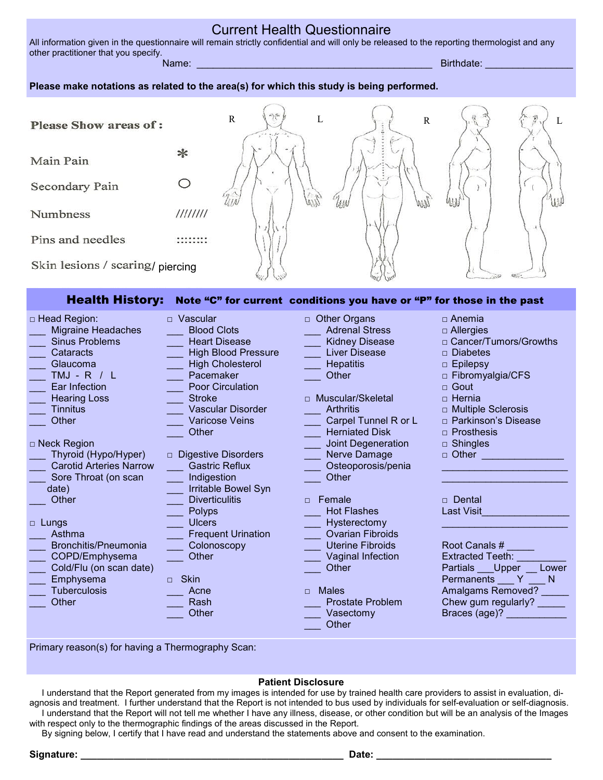### Current Health Questionnaire

All information given in the questionnaire will remain strictly confidential and will only be released to the reporting thermologist and any other practitioner that you specify. Name: \_\_\_\_\_\_\_\_\_\_\_\_\_\_\_\_\_\_\_\_\_\_\_\_\_\_\_\_\_\_\_\_\_\_\_\_\_\_\_\_\_\_\_ Birthdate: \_\_\_\_\_\_\_\_\_\_\_\_\_\_\_\_

### **Please make notations as related to the area(s) for which this study is being performed.**

| <b>Please Show areas of:</b>     |          | $\pi$<br>R<br>$-1 - 1$ | R | L |
|----------------------------------|----------|------------------------|---|---|
| Main Pain                        |          |                        |   |   |
| Secondary Pain                   |          |                        |   | 柳 |
| Numbness                         | 11111111 |                        |   |   |
| Pins and needles                 |          |                        |   |   |
| Skin lesions / scaring/ piercing |          |                        |   |   |

### Health History: Note "C" for current conditions you have or "P" for those in the past

| □ Head Region:                 | $\Box$ Vascular            | <b>Other Organs</b><br>$\Box$ | $\Box$ Anemia               |
|--------------------------------|----------------------------|-------------------------------|-----------------------------|
| <b>Migraine Headaches</b>      | <b>Blood Clots</b>         | <b>Adrenal Stress</b>         | $\Box$ Allergies            |
| <b>Sinus Problems</b>          | <b>Heart Disease</b>       | <b>Kidney Disease</b>         | □ Cancer/Tumors/Growths     |
| Cataracts                      | <b>High Blood Pressure</b> | <b>Liver Disease</b>          | $\Box$ Diabetes             |
| Glaucoma                       | <b>High Cholesterol</b>    | <b>Hepatitis</b>              | $\Box$ Epilepsy             |
| TMJ - R / L                    | Pacemaker                  | Other                         | $\Box$ Fibromyalgia/CFS     |
| Ear Infection                  | Poor Circulation           |                               | $\sqcap$ Gout               |
| <b>Hearing Loss</b>            | <b>Stroke</b>              | Muscular/Skeletal<br>$\Box$   | $\Box$ Hernia               |
| <b>Tinnitus</b>                | Vascular Disorder          | <b>Arthritis</b>              | $\Box$ Multiple Sclerosis   |
| Other                          | <b>Varicose Veins</b>      | Carpel Tunnel R or L          | □ Parkinson's Disease       |
|                                | Other                      | <b>Herniated Disk</b>         | $\Box$ Prosthesis           |
| $\Box$ Neck Region             |                            | <b>Joint Degeneration</b>     | $\Box$ Shingles             |
| Thyroid (Hypo/Hyper)           | $\Box$ Digestive Disorders | Nerve Damage                  | $\Box$ Other                |
| <b>Carotid Arteries Narrow</b> | <b>Gastric Reflux</b>      | Osteoporosis/penia            |                             |
| Sore Throat (on scan           | Indigestion                | Other                         |                             |
| date)                          | Irritable Bowel Syn        |                               |                             |
| Other                          | <b>Diverticulitis</b>      | Female<br>$\Box$              | □ Dental                    |
|                                | Polyps                     | <b>Hot Flashes</b>            | <b>Last Visit</b>           |
| $\Box$ Lungs                   | <b>Ulcers</b>              | Hysterectomy                  |                             |
| Asthma                         | <b>Frequent Urination</b>  | <b>Ovarian Fibroids</b>       |                             |
| Bronchitis/Pneumonia           | Colonoscopy                | <b>Uterine Fibroids</b>       | Root Canals #               |
| COPD/Emphysema                 | Other                      | Vaginal Infection             | <b>Extracted Teeth:</b>     |
| Cold/Flu (on scan date)        |                            | Other                         | Partials ___ Upper<br>Lower |
| Emphysema                      | <b>Skin</b><br>$\Box$      |                               | N<br>Permanents<br>Y        |
| <b>Tuberculosis</b>            | Acne                       | <b>Males</b><br>$\Box$        | Amalgams Removed?           |
| Other                          | Rash                       | <b>Prostate Problem</b>       | Chew gum regularly?         |
|                                | Other                      | Vasectomy                     | Braces (age)?               |
|                                |                            | Other                         |                             |

Primary reason(s) for having a Thermography Scan:

### **Patient Disclosure**

 I understand that the Report generated from my images is intended for use by trained health care providers to assist in evaluation, diagnosis and treatment. I further understand that the Report is not intended to bus used by individuals for self-evaluation or self-diagnosis. I understand that the Report will not tell me whether I have any illness, disease, or other condition but will be an analysis of the Images with respect only to the thermographic findings of the areas discussed in the Report.

By signing below, I certify that I have read and understand the statements above and consent to the examination.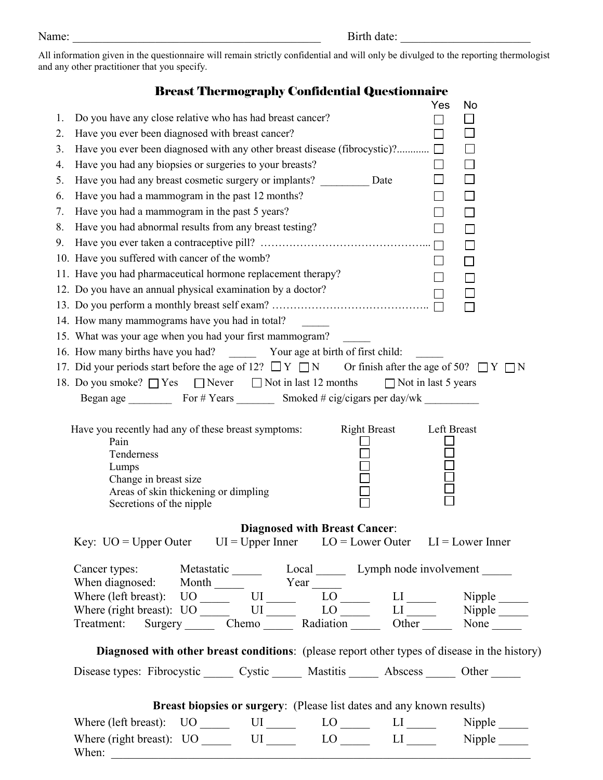All information given in the questionnaire will remain strictly confidential and will only be divulged to the reporting thermologist and any other practitioner that you specify.

## Breast Thermography Confidential Questionnaire

| 1. | Do you have any close relative who has had breast cancer?                                                                                                                                                                                                                                                      | Yes            | No     |
|----|----------------------------------------------------------------------------------------------------------------------------------------------------------------------------------------------------------------------------------------------------------------------------------------------------------------|----------------|--------|
| 2. | Have you ever been diagnosed with breast cancer?                                                                                                                                                                                                                                                               |                |        |
| 3. |                                                                                                                                                                                                                                                                                                                |                |        |
|    |                                                                                                                                                                                                                                                                                                                |                | $\Box$ |
| 4. | Have you had any biopsies or surgeries to your breasts?                                                                                                                                                                                                                                                        |                | $\Box$ |
| 5. | Have you had any breast cosmetic surgery or implants? Date                                                                                                                                                                                                                                                     | $\Box$         |        |
| 6. | Have you had a mammogram in the past 12 months?                                                                                                                                                                                                                                                                | $\Box$         |        |
| 7. | Have you had a mammogram in the past 5 years?                                                                                                                                                                                                                                                                  |                | $\Box$ |
| 8. | Have you had abnormal results from any breast testing?                                                                                                                                                                                                                                                         |                |        |
| 9. |                                                                                                                                                                                                                                                                                                                |                | П      |
|    | 10. Have you suffered with cancer of the womb?                                                                                                                                                                                                                                                                 |                | П      |
|    | 11. Have you had pharmaceutical hormone replacement therapy?                                                                                                                                                                                                                                                   | $\blacksquare$ |        |
|    | 12. Do you have an annual physical examination by a doctor?                                                                                                                                                                                                                                                    |                |        |
|    |                                                                                                                                                                                                                                                                                                                |                |        |
|    | 14. How many mammograms have you had in total?                                                                                                                                                                                                                                                                 |                |        |
|    | 15. What was your age when you had your first mammogram?                                                                                                                                                                                                                                                       |                |        |
|    |                                                                                                                                                                                                                                                                                                                |                |        |
|    | 17. Did your periods start before the age of 12? $\Box Y \Box N$ Or finish after the age of 50? $\Box Y \Box N$                                                                                                                                                                                                |                |        |
|    | 18. Do you smoke? □ Yes □ Never □ Not in last 12 months □ Not in last 5 years                                                                                                                                                                                                                                  |                |        |
|    |                                                                                                                                                                                                                                                                                                                |                |        |
|    | Pain<br>Tenderness<br>Lumps<br>Change in breast size<br>Areas of skin thickening or dimpling<br>Secretions of the nipple                                                                                                                                                                                       |                |        |
|    |                                                                                                                                                                                                                                                                                                                |                |        |
|    | <b>Diagnosed with Breast Cancer:</b><br>Key: $UO = Upper$ Outer $UI = Upper$ Inner $LO = Lower$ Outer $LI = Lower$ Inner                                                                                                                                                                                       |                |        |
|    |                                                                                                                                                                                                                                                                                                                |                |        |
|    | Cancer types: Metastatic _______ Local _______ Lymph node involvement ______<br>When diagnosed: Month Year Low Line Superior Contract Contract Contract Contract Contract Contract Contract Contract Contract Contract Contract Contract Contract Contract Contract Contract Contract Contract Contract Contra |                |        |
|    |                                                                                                                                                                                                                                                                                                                |                |        |
|    |                                                                                                                                                                                                                                                                                                                |                |        |
|    | Treatment: Surgery Chemo Radiation Other None                                                                                                                                                                                                                                                                  |                |        |
|    | Diagnosed with other breast conditions: (please report other types of disease in the history)                                                                                                                                                                                                                  |                |        |
|    | Disease types: Fibrocystic _______ Cystic ________ Mastitis _______ Abscess _______ Other _______                                                                                                                                                                                                              |                |        |
|    |                                                                                                                                                                                                                                                                                                                |                |        |
|    | Breast biopsies or surgery: (Please list dates and any known results)                                                                                                                                                                                                                                          |                |        |
|    | Where (left breast): UO ______ UI _____ LO _____ LI _____ Nipple _____                                                                                                                                                                                                                                         |                |        |
|    | Where (right breast): $UO$ _______ $UI$ ______ $LO$ ______ $LI$ _____ Nipple _____<br>When:                                                                                                                                                                                                                    |                |        |